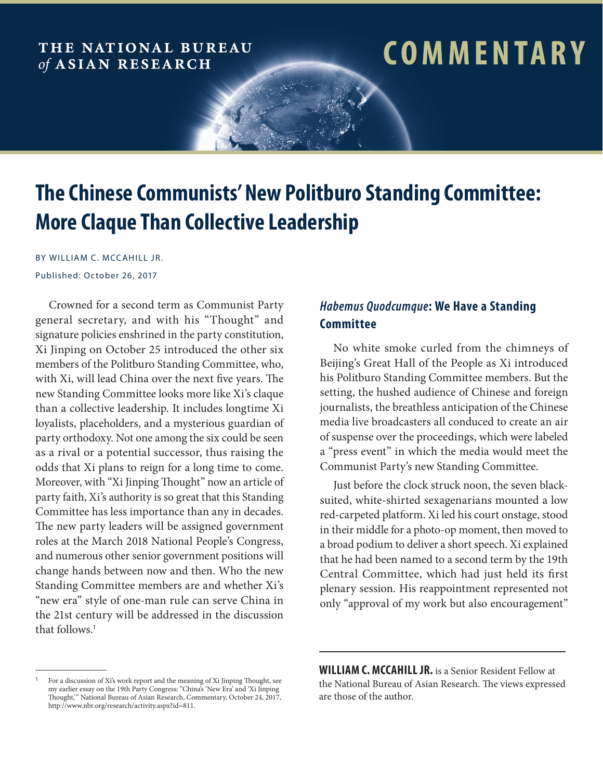# THE NATIONAL BUREAU of ASIAN RESEARCH

# **comm e n ta r y**

# **The Chinese Communists' New Politburo Standing Committee: More Claque Than Collective Leadership**

BY WILLIAM C. MCCAHILL JR. Published: October 26, 2017

Crowned for a second term as Communist Party general secretary, and with his "Thought" and signature policies enshrined in the party constitution, Xi Jinping on October 25 introduced the other six members of the Politburo Standing Committee, who, with Xi, will lead China over the next five years. The new Standing Committee looks more like Xi's claque than a collective leadership. It includes longtime Xi loyalists, placeholders, and a mysterious guardian of party orthodoxy. Not one among the six could be seen as a rival or a potential successor, thus raising the odds that Xi plans to reign for a long time to come. Moreover, with "Xi Jinping Thought" now an article of party faith, Xi's authority is so great that this Standing Committee has less importance than any in decades. The new party leaders will be assigned government roles at the March 2018 National People's Congress, and numerous other senior government positions will change hands between now and then. Who the new Standing Committee members are and whether Xi's "new era" style of one-man rule can serve China in the 21st century will be addressed in the discussion that follows.<sup>1</sup>

## *Habemus Quodcumque***: We Have a Standing Committee**

No white smoke curled from the chimneys of Beijing's Great Hall of the People as Xi introduced his Politburo Standing Committee members. But the setting, the hushed audience of Chinese and foreign journalists, the breathless anticipation of the Chinese media live broadcasters all conduced to create an air of suspense over the proceedings, which were labeled a "press event" in which the media would meet the Communist Party's new Standing Committee.

Just before the clock struck noon, the seven blacksuited, white-shirted sexagenarians mounted a low red-carpeted platform. Xi led his court onstage, stood in their middle for a photo-op moment, then moved to a broad podium to deliver a short speech. Xi explained that he had been named to a second term by the 19th Central Committee, which had just held its first plenary session. His reappointment represented not only "approval of my work but also encouragement"

<sup>&</sup>lt;sup>1</sup> For a discussion of Xi's work report and the meaning of Xi Jinping Thought, see my earlier essay on the 19th Party Congress: "China's 'New Era' and 'Xi Jinping Thought,'" National Bureau of Asian Research, Commentary, October 24, 2017, http://www.nbr.org/research/activity.aspx?id=811.

**WILLIAM C. MCCAHILL JR.** is a Senior Resident Fellow at the National Bureau of Asian Research. The views expressed are those of the author.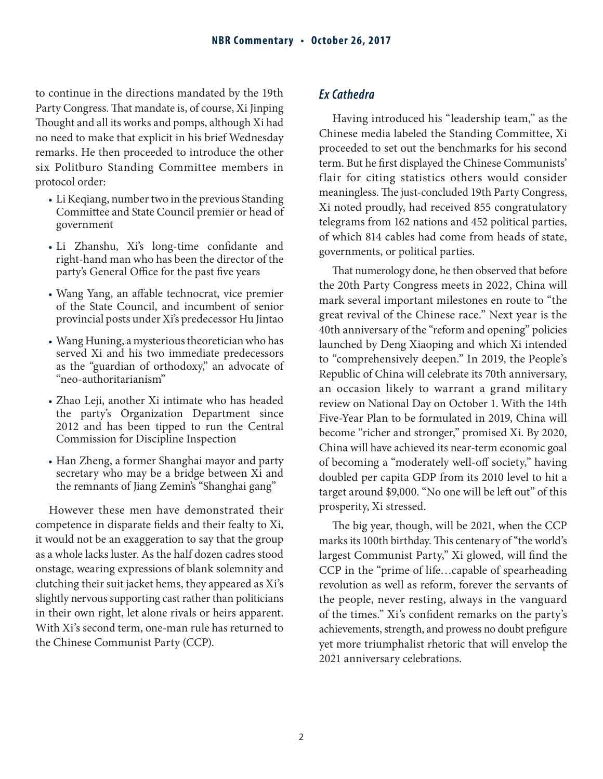to continue in the directions mandated by the 19th Party Congress. That mandate is, of course, Xi Jinping Thought and all its works and pomps, although Xi had no need to make that explicit in his brief Wednesday remarks. He then proceeded to introduce the other six Politburo Standing Committee members in protocol order:

- Li Keqiang, number two in the previous Standing Committee and State Council premier or head of government
- Li Zhanshu, Xi's long-time confidante and right-hand man who has been the director of the party's General Office for the past five years
- Wang Yang, an affable technocrat, vice premier of the State Council, and incumbent of senior provincial posts under Xi's predecessor Hu Jintao
- Wang Huning, a mysterious theoretician who has served Xi and his two immediate predecessors as the "guardian of orthodoxy," an advocate of "neo-authoritarianism"
- Zhao Leji, another Xi intimate who has headed the party's Organization Department since 2012 and has been tipped to run the Central Commission for Discipline Inspection
- Han Zheng, a former Shanghai mayor and party secretary who may be a bridge between Xi and the remnants of Jiang Zemin's "Shanghai gang"

However these men have demonstrated their competence in disparate fields and their fealty to Xi, it would not be an exaggeration to say that the group as a whole lacks luster. As the half dozen cadres stood onstage, wearing expressions of blank solemnity and clutching their suit jacket hems, they appeared as Xi's slightly nervous supporting cast rather than politicians in their own right, let alone rivals or heirs apparent. With Xi's second term, one-man rule has returned to the Chinese Communist Party (CCP).

#### *Ex Cathedra*

Having introduced his "leadership team," as the Chinese media labeled the Standing Committee, Xi proceeded to set out the benchmarks for his second term. But he first displayed the Chinese Communists' flair for citing statistics others would consider meaningless. The just-concluded 19th Party Congress, Xi noted proudly, had received 855 congratulatory telegrams from 162 nations and 452 political parties, of which 814 cables had come from heads of state, governments, or political parties.

That numerology done, he then observed that before the 20th Party Congress meets in 2022, China will mark several important milestones en route to "the great revival of the Chinese race." Next year is the 40th anniversary of the "reform and opening" policies launched by Deng Xiaoping and which Xi intended to "comprehensively deepen." In 2019, the People's Republic of China will celebrate its 70th anniversary, an occasion likely to warrant a grand military review on National Day on October 1. With the 14th Five-Year Plan to be formulated in 2019, China will become "richer and stronger," promised Xi. By 2020, China will have achieved its near-term economic goal of becoming a "moderately well-off society," having doubled per capita GDP from its 2010 level to hit a target around \$9,000. "No one will be left out" of this prosperity, Xi stressed.

The big year, though, will be 2021, when the CCP marks its 100th birthday. This centenary of "the world's largest Communist Party," Xi glowed, will find the CCP in the "prime of life…capable of spearheading revolution as well as reform, forever the servants of the people, never resting, always in the vanguard of the times." Xi's confident remarks on the party's achievements, strength, and prowess no doubt prefigure yet more triumphalist rhetoric that will envelop the 2021 anniversary celebrations.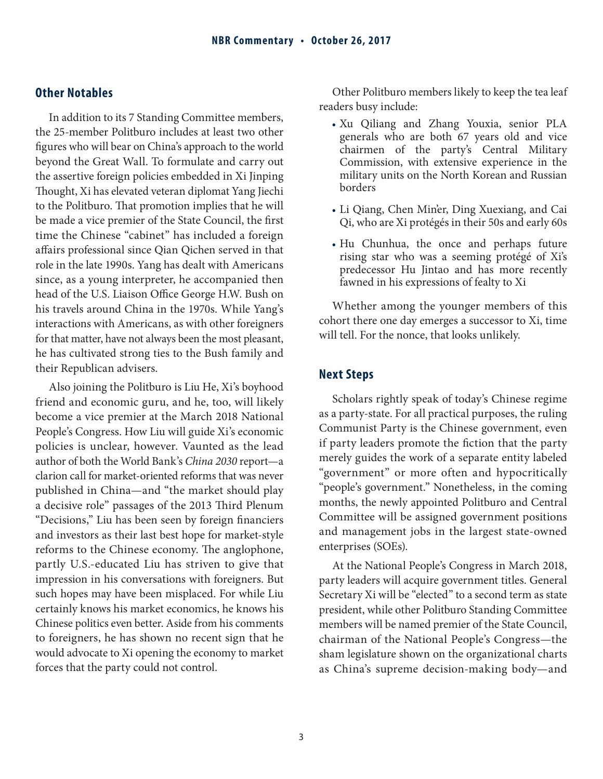#### **Other Notables**

In addition to its 7 Standing Committee members, the 25-member Politburo includes at least two other figures who will bear on China's approach to the world beyond the Great Wall. To formulate and carry out the assertive foreign policies embedded in Xi Jinping Thought, Xi has elevated veteran diplomat Yang Jiechi to the Politburo. That promotion implies that he will be made a vice premier of the State Council, the first time the Chinese "cabinet" has included a foreign affairs professional since Qian Qichen served in that role in the late 1990s. Yang has dealt with Americans since, as a young interpreter, he accompanied then head of the U.S. Liaison Office George H.W. Bush on his travels around China in the 1970s. While Yang's interactions with Americans, as with other foreigners for that matter, have not always been the most pleasant, he has cultivated strong ties to the Bush family and their Republican advisers.

Also joining the Politburo is Liu He, Xi's boyhood friend and economic guru, and he, too, will likely become a vice premier at the March 2018 National People's Congress. How Liu will guide Xi's economic policies is unclear, however. Vaunted as the lead author of both the World Bank's *China 2030* report—a clarion call for market-oriented reforms that was never published in China—and "the market should play a decisive role" passages of the 2013 Third Plenum "Decisions," Liu has been seen by foreign financiers and investors as their last best hope for market-style reforms to the Chinese economy. The anglophone, partly U.S.-educated Liu has striven to give that impression in his conversations with foreigners. But such hopes may have been misplaced. For while Liu certainly knows his market economics, he knows his Chinese politics even better. Aside from his comments to foreigners, he has shown no recent sign that he would advocate to Xi opening the economy to market forces that the party could not control.

Other Politburo members likely to keep the tea leaf readers busy include:

- Xu Qiliang and Zhang Youxia, senior PLA generals who are both 67 years old and vice chairmen of the party's Central Military Commission, with extensive experience in the military units on the North Korean and Russian borders
- Li Qiang, Chen Min'er, Ding Xuexiang, and Cai Qi, who are Xi protégés in their 50s and early 60s
- Hu Chunhua, the once and perhaps future rising star who was a seeming protégé of Xi's predecessor Hu Jintao and has more recently fawned in his expressions of fealty to Xi

Whether among the younger members of this cohort there one day emerges a successor to Xi, time will tell. For the nonce, that looks unlikely.

#### **Next Steps**

Scholars rightly speak of today's Chinese regime as a party-state. For all practical purposes, the ruling Communist Party is the Chinese government, even if party leaders promote the fiction that the party merely guides the work of a separate entity labeled "government" or more often and hypocritically "people's government." Nonetheless, in the coming months, the newly appointed Politburo and Central Committee will be assigned government positions and management jobs in the largest state-owned enterprises (SOEs).

At the National People's Congress in March 2018, party leaders will acquire government titles. General Secretary Xi will be "elected" to a second term as state president, while other Politburo Standing Committee members will be named premier of the State Council, chairman of the National People's Congress—the sham legislature shown on the organizational charts as China's supreme decision-making body—and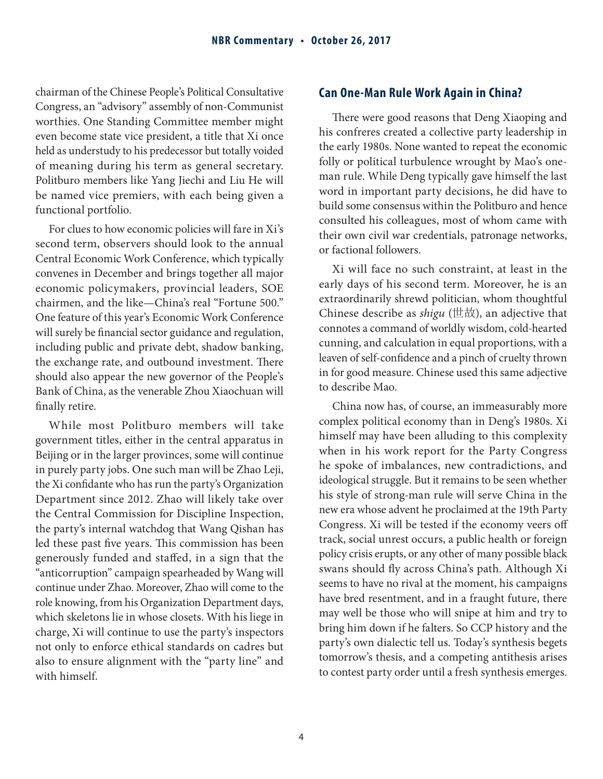chairman of the Chinese People's Political Consultative Congress, an "advisory" assembly of non-Communist worthies. One Standing Committee member might even become state vice president, a title that Xi once held as understudy to his predecessor but totally voided of meaning during his term as general secretary. Politburo members like Yang Jiechi and Liu He will be named vice premiers, with each being given a functional portfolio.

For clues to how economic policies will fare in Xi's second term, observers should look to the annual Central Economic Work Conference, which typically convenes in December and brings together all major economic policymakers, provincial leaders, SOE chairmen, and the like—China's real "Fortune 500." One feature of this year's Economic Work Conference will surely be financial sector guidance and regulation, including public and private debt, shadow banking, the exchange rate, and outbound investment. There should also appear the new governor of the People's Bank of China, as the venerable Zhou Xiaochuan will finally retire.

While most Politburo members will take government titles, either in the central apparatus in Beijing or in the larger provinces, some will continue in purely party jobs. One such man will be Zhao Leji, the Xi confidante who has run the party's Organization Department since 2012. Zhao will likely take over the Central Commission for Discipline Inspection, the party's internal watchdog that Wang Qishan has led these past five years. This commission has been generously funded and staffed, in a sign that the "anticorruption" campaign spearheaded by Wang will continue under Zhao. Moreover, Zhao will come to the role knowing, from his Organization Department days, which skeletons lie in whose closets. With his liege in charge, Xi will continue to use the party's inspectors not only to enforce ethical standards on cadres but also to ensure alignment with the "party line" and with himself.

### **Can One-Man Rule Work Again in China?**

There were good reasons that Deng Xiaoping and his confreres created a collective party leadership in the early 1980s. None wanted to repeat the economic folly or political turbulence wrought by Mao's oneman rule. While Deng typically gave himself the last word in important party decisions, he did have to build some consensus within the Politburo and hence consulted his colleagues, most of whom came with their own civil war credentials, patronage networks, or factional followers.

Xi will face no such constraint, at least in the early days of his second term. Moreover, he is an extraordinarily shrewd politician, whom thoughtful Chinese describe as *shigu* (世故), an adjective that connotes a command of worldly wisdom, cold-hearted cunning, and calculation in equal proportions, with a leaven of self-confidence and a pinch of cruelty thrown in for good measure. Chinese used this same adjective to describe Mao.

China now has, of course, an immeasurably more complex political economy than in Deng's 1980s. Xi himself may have been alluding to this complexity when in his work report for the Party Congress he spoke of imbalances, new contradictions, and ideological struggle. But it remains to be seen whether his style of strong-man rule will serve China in the new era whose advent he proclaimed at the 19th Party Congress. Xi will be tested if the economy veers off track, social unrest occurs, a public health or foreign policy crisis erupts, or any other of many possible black swans should fly across China's path. Although Xi seems to have no rival at the moment, his campaigns have bred resentment, and in a fraught future, there may well be those who will snipe at him and try to bring him down if he falters. So CCP history and the party's own dialectic tell us. Today's synthesis begets tomorrow's thesis, and a competing antithesis arises to contest party order until a fresh synthesis emerges.